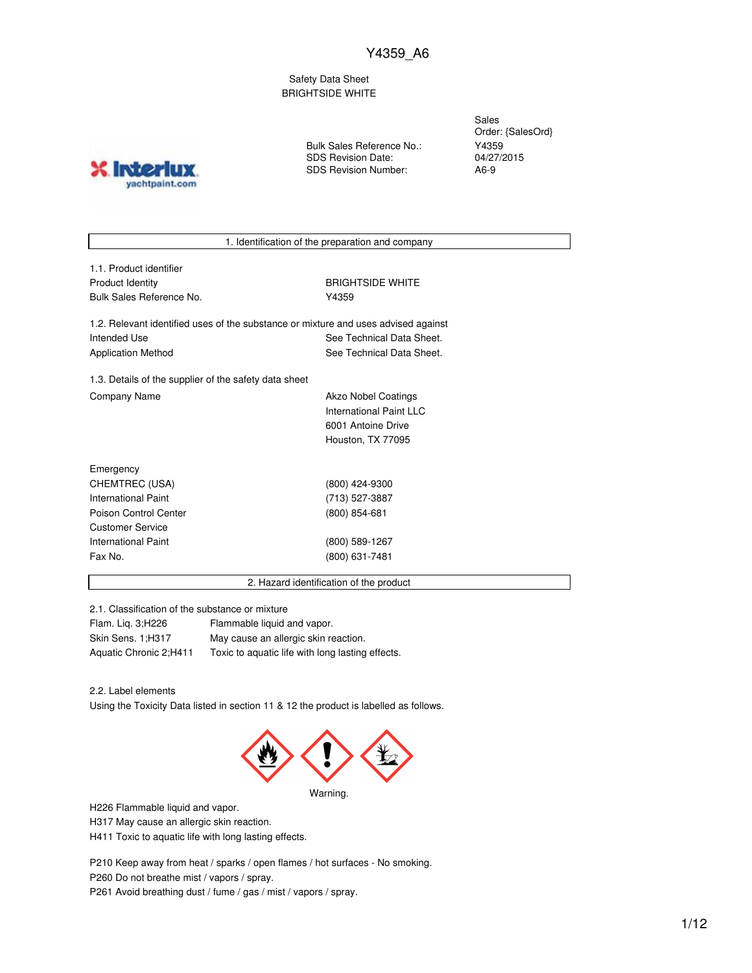Safety Data Sheet BRIGHTSIDE WHITE

**IND?** yachtpaint.com Bulk Sales Reference No.: SDS Revision Date: SDS Revision Number:

Sales Order: {SalesOrd} Y4359 04/27/2015 A6-9

1. Identification of the preparation and company

1.1. Product identifier Product Identity **BRIGHTSIDE WHITE** Bulk Sales Reference No. **Y4359** 

1.2. Relevant identified uses of the substance or mixture and uses advised against Intended Use **See Technical Data Sheet.** See Technical Data Sheet. Application Method See Technical Data Sheet.

1.3. Details of the supplier of the safety data sheet Company Name **Akzo Nobel Coatings** 

International Paint LLC 6001 Antoine Drive Houston, TX 77095

| Emergency             |                |  |
|-----------------------|----------------|--|
| CHEMTREC (USA)        | (800) 424-9300 |  |
| International Paint   | (713) 527-3887 |  |
| Poison Control Center | (800) 854-681  |  |
| Customer Service      |                |  |
| International Paint   | (800) 589-1267 |  |
| Fax No.               | (800) 631-7481 |  |
|                       |                |  |

2. Hazard identification of the product

2.1. Classification of the substance or mixture

| Flam. Lig. 3; H226     | Flammable liquid and vapor.                      |
|------------------------|--------------------------------------------------|
| Skin Sens. 1:H317      | May cause an allergic skin reaction.             |
| Aquatic Chronic 2;H411 | Toxic to aquatic life with long lasting effects. |

2.2. Label elements

Using the Toxicity Data listed in section 11 & 12 the product is labelled as follows.



H226 Flammable liquid and vapor.

H317 May cause an allergic skin reaction.

H411 Toxic to aquatic life with long lasting effects.

P210 Keep away from heat / sparks / open flames / hot surfaces - No smoking. P260 Do not breathe mist / vapors / spray. P261 Avoid breathing dust / fume / gas / mist / vapors / spray.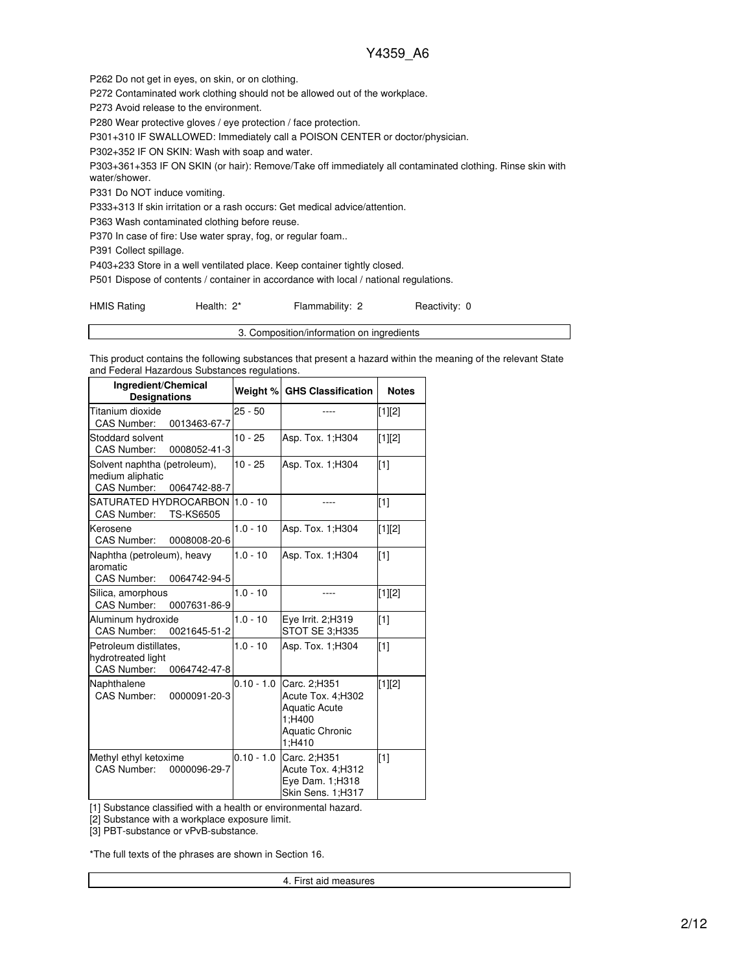P262 Do not get in eyes, on skin, or on clothing.

P272 Contaminated work clothing should not be allowed out of the workplace.

P273 Avoid release to the environment.

P280 Wear protective gloves / eye protection / face protection.

P301+310 IF SWALLOWED: Immediately call a POISON CENTER or doctor/physician.

P302+352 IF ON SKIN: Wash with soap and water.

P303+361+353 IF ON SKIN (or hair): Remove/Take off immediately all contaminated clothing. Rinse skin with water/shower.

P331 Do NOT induce vomiting.

P333+313 If skin irritation or a rash occurs: Get medical advice/attention.

P363 Wash contaminated clothing before reuse.

P370 In case of fire: Use water spray, fog, or regular foam..

P391 Collect spillage.

P403+233 Store in a well ventilated place. Keep container tightly closed.

P501 Dispose of contents / container in accordance with local / national regulations.

HMIS Rating **Health: 2\*** Flammability: 2 Reactivity: 0

3. Composition/information on ingredients

This product contains the following substances that present a hazard within the meaning of the relevant State and Federal Hazardous Substances regulations.

| Ingredient/Chemical<br><b>Designations</b>                                         |              | Weight % GHS Classification                                                                             | <b>Notes</b> |
|------------------------------------------------------------------------------------|--------------|---------------------------------------------------------------------------------------------------------|--------------|
| Titanium dioxide<br><b>CAS Number:</b><br>0013463-67-7                             | $25 - 50$    |                                                                                                         | $[1][2]$     |
| Stoddard solvent<br><b>CAS Number:</b><br>0008052-41-3                             | $10 - 25$    | Asp. Tox. 1; H304                                                                                       | [1][2]       |
| Solvent naphtha (petroleum),<br>medium aliphatic<br>CAS Number:<br>0064742-88-7    | $10 - 25$    | Asp. Tox. 1; H304                                                                                       | $[1]$        |
| SATURATED HYDROCARBON I<br><b>CAS Number:</b><br><b>TS-KS6505</b>                  | $1.0 - 10$   |                                                                                                         | $[1]$        |
| Kerosene<br>CAS Number:<br>0008008-20-6                                            | $1.0 - 10$   | Asp. Tox. 1; H304                                                                                       | $[1][2]$     |
| Naphtha (petroleum), heavy<br>aromatic<br>CAS Number:<br>0064742-94-5              | $1.0 - 10$   | Asp. Tox. 1: H304                                                                                       | $[1]$        |
| Silica, amorphous<br>CAS Number:<br>0007631-86-9                                   | $1.0 - 10$   |                                                                                                         | $[1][2]$     |
| Aluminum hydroxide<br>CAS Number:<br>0021645-51-2                                  | $1.0 - 10$   | Eye Irrit. 2;H319<br>STOT SE 3;H335                                                                     | $[1]$        |
| Petroleum distillates.<br>hydrotreated light<br><b>CAS Number:</b><br>0064742-47-8 | $1.0 - 10$   | Asp. Tox. 1; H304                                                                                       | $[1]$        |
| Naphthalene<br><b>CAS Number:</b><br>0000091-20-3                                  | $0.10 - 1.0$ | Carc. 2:H351<br>Acute Tox. 4;H302<br><b>Aquatic Acute</b><br>1;H400<br><b>Aquatic Chronic</b><br>1:H410 | [1][2]       |
| Methyl ethyl ketoxime<br>CAS Number:<br>0000096-29-7                               | $0.10 - 1.0$ | Carc. 2;H351<br>Acute Tox. 4;H312<br>Eye Dam. 1;H318<br>Skin Sens. 1;H317                               | $[1]$        |

[1] Substance classified with a health or environmental hazard.

[2] Substance with a workplace exposure limit.

[3] PBT-substance or vPvB-substance.

\*The full texts of the phrases are shown in Section 16.

4. First aid measures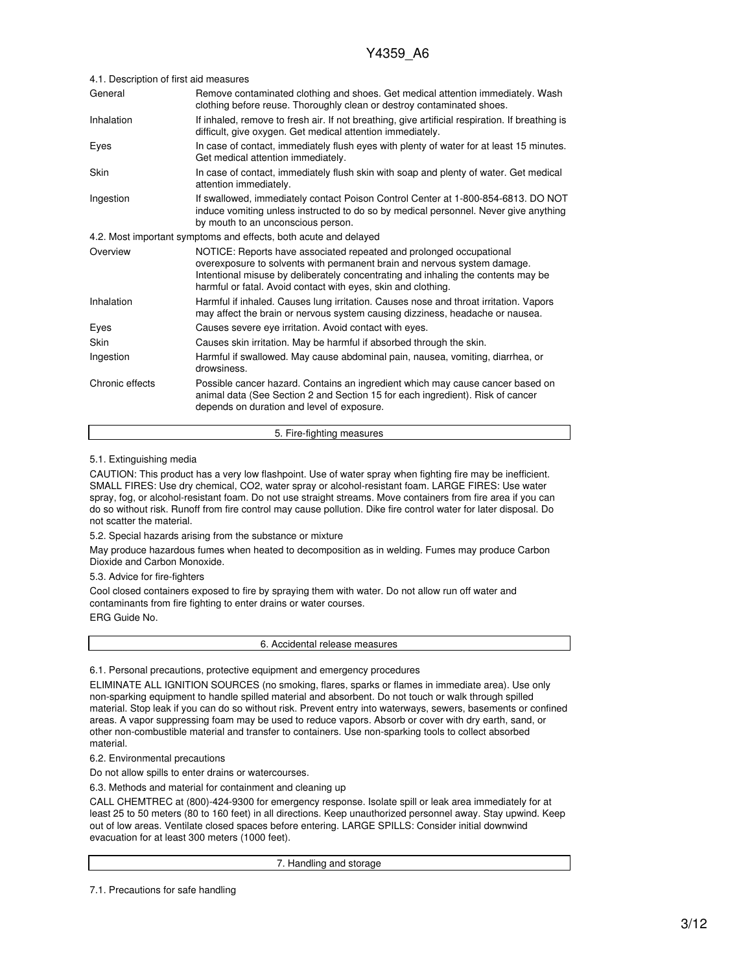| 4.1. Description of first aid measures |                                                                                                                                                                                                                                                                                                       |  |
|----------------------------------------|-------------------------------------------------------------------------------------------------------------------------------------------------------------------------------------------------------------------------------------------------------------------------------------------------------|--|
| General                                | Remove contaminated clothing and shoes. Get medical attention immediately. Wash<br>clothing before reuse. Thoroughly clean or destroy contaminated shoes.                                                                                                                                             |  |
| Inhalation                             | If inhaled, remove to fresh air. If not breathing, give artificial respiration. If breathing is<br>difficult, give oxygen. Get medical attention immediately.                                                                                                                                         |  |
| Eyes                                   | In case of contact, immediately flush eyes with plenty of water for at least 15 minutes.<br>Get medical attention immediately.                                                                                                                                                                        |  |
| Skin                                   | In case of contact, immediately flush skin with soap and plenty of water. Get medical<br>attention immediately.                                                                                                                                                                                       |  |
| Ingestion                              | If swallowed, immediately contact Poison Control Center at 1-800-854-6813. DO NOT<br>induce vomiting unless instructed to do so by medical personnel. Never give anything<br>by mouth to an unconscious person.                                                                                       |  |
|                                        | 4.2. Most important symptoms and effects, both acute and delayed                                                                                                                                                                                                                                      |  |
| Overview                               | NOTICE: Reports have associated repeated and prolonged occupational<br>overexposure to solvents with permanent brain and nervous system damage.<br>Intentional misuse by deliberately concentrating and inhaling the contents may be<br>harmful or fatal. Avoid contact with eyes, skin and clothing. |  |
| Inhalation                             | Harmful if inhaled. Causes lung irritation. Causes nose and throat irritation. Vapors<br>may affect the brain or nervous system causing dizziness, headache or nausea.                                                                                                                                |  |
| Eyes                                   | Causes severe eye irritation. Avoid contact with eyes.                                                                                                                                                                                                                                                |  |
| Skin                                   | Causes skin irritation. May be harmful if absorbed through the skin.                                                                                                                                                                                                                                  |  |
| Ingestion                              | Harmful if swallowed. May cause abdominal pain, nausea, vomiting, diarrhea, or<br>drowsiness.                                                                                                                                                                                                         |  |
| Chronic effects                        | Possible cancer hazard. Contains an ingredient which may cause cancer based on<br>animal data (See Section 2 and Section 15 for each ingredient). Risk of cancer<br>depends on duration and level of exposure.                                                                                        |  |

### 5. Fire-fighting measures

#### 5.1. Extinguishing media

CAUTION: This product has a very low flashpoint. Use of water spray when fighting fire may be inefficient. SMALL FIRES: Use dry chemical, CO2, water spray or alcohol-resistant foam. LARGE FIRES: Use water spray, fog, or alcohol-resistant foam. Do not use straight streams. Move containers from fire area if you can do so without risk. Runoff from fire control may cause pollution. Dike fire control water for later disposal. Do not scatter the material.

5.2. Special hazards arising from the substance or mixture

May produce hazardous fumes when heated to decomposition as in welding. Fumes may produce Carbon Dioxide and Carbon Monoxide.

5.3. Advice for fire-fighters

Cool closed containers exposed to fire by spraying them with water. Do not allow run off water and contaminants from fire fighting to enter drains or water courses.

ERG Guide No.

6. Accidental release measures

6.1. Personal precautions, protective equipment and emergency procedures

ELIMINATE ALL IGNITION SOURCES (no smoking, flares, sparks or flames in immediate area). Use only non-sparking equipment to handle spilled material and absorbent. Do not touch or walk through spilled material. Stop leak if you can do so without risk. Prevent entry into waterways, sewers, basements or confined areas. A vapor suppressing foam may be used to reduce vapors. Absorb or cover with dry earth, sand, or other non-combustible material and transfer to containers. Use non-sparking tools to collect absorbed material.

#### 6.2. Environmental precautions

Do not allow spills to enter drains or watercourses.

6.3. Methods and material for containment and cleaning up

CALL CHEMTREC at (800)-424-9300 for emergency response. Isolate spill or leak area immediately for at least 25 to 50 meters (80 to 160 feet) in all directions. Keep unauthorized personnel away. Stay upwind. Keep out of low areas. Ventilate closed spaces before entering. LARGE SPILLS: Consider initial downwind evacuation for at least 300 meters (1000 feet).

7. Handling and storage

7.1. Precautions for safe handling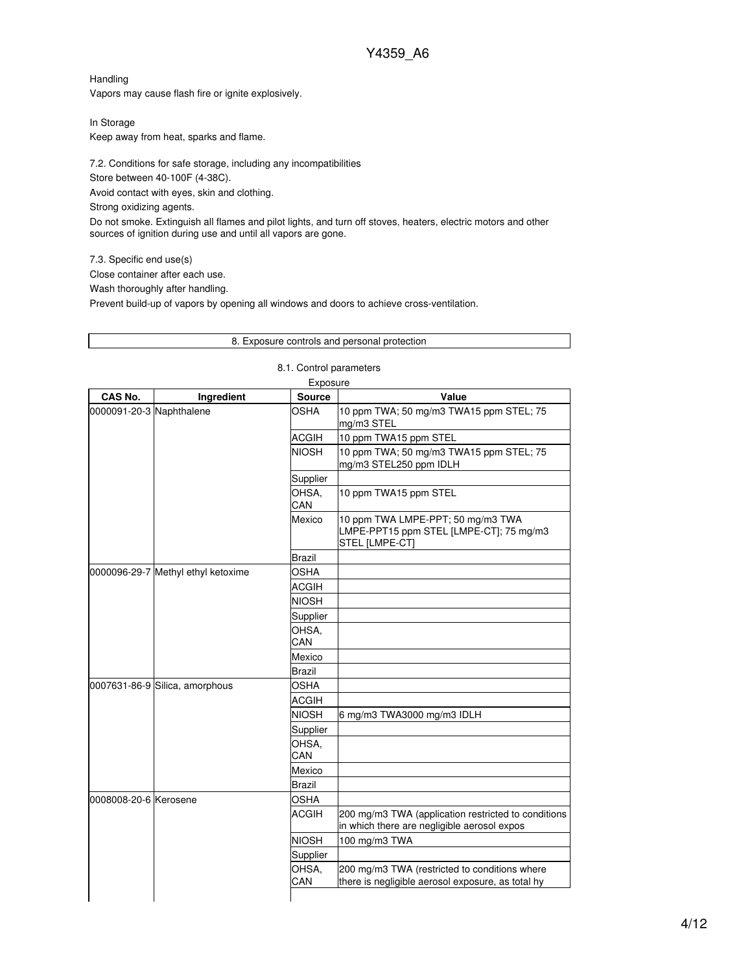Handling Vapors may cause flash fire or ignite explosively.

In Storage Keep away from heat, sparks and flame.

7.2. Conditions for safe storage, including any incompatibilities

Store between 40-100F (4-38C).

Avoid contact with eyes, skin and clothing.

Strong oxidizing agents.

Do not smoke. Extinguish all flames and pilot lights, and turn off stoves, heaters, electric motors and other sources of ignition during use and until all vapors are gone.

7.3. Specific end use(s)

Close container after each use.

Wash thoroughly after handling.

Prevent build-up of vapors by opening all windows and doors to achieve cross-ventilation.

|                          |                                    |                         | 8. Exposure controls and personal protection                                                       |
|--------------------------|------------------------------------|-------------------------|----------------------------------------------------------------------------------------------------|
|                          |                                    | 8.1. Control parameters |                                                                                                    |
|                          |                                    | Exposure                |                                                                                                    |
| CAS No.                  | Ingredient                         | Source                  | Value                                                                                              |
| 0000091-20-3 Naphthalene |                                    | OSHA                    | 10 ppm TWA; 50 mg/m3 TWA15 ppm STEL; 75<br>mg/m3 STEL                                              |
|                          |                                    | ACGIH                   | 10 ppm TWA15 ppm STEL                                                                              |
|                          |                                    | <b>NIOSH</b>            | 10 ppm TWA; 50 mg/m3 TWA15 ppm STEL; 75<br>mg/m3 STEL250 ppm IDLH                                  |
|                          |                                    | Supplier                |                                                                                                    |
|                          |                                    | OHSA,<br>CAN            | 10 ppm TWA15 ppm STEL                                                                              |
|                          |                                    | Mexico                  | 10 ppm TWA LMPE-PPT; 50 mg/m3 TWA<br>LMPE-PPT15 ppm STEL [LMPE-CT]; 75 mg/m3<br>STEL [LMPE-CT]     |
|                          |                                    | <b>Brazil</b>           |                                                                                                    |
|                          | 0000096-29-7 Methyl ethyl ketoxime | <b>OSHA</b>             |                                                                                                    |
|                          |                                    | <b>ACGIH</b>            |                                                                                                    |
|                          |                                    | <b>NIOSH</b>            |                                                                                                    |
|                          |                                    | Supplier                |                                                                                                    |
|                          |                                    | OHSA,<br>CAN            |                                                                                                    |
|                          |                                    | Mexico                  |                                                                                                    |
|                          |                                    | Brazil                  |                                                                                                    |
|                          | 0007631-86-9 Silica, amorphous     | OSHA                    |                                                                                                    |
|                          |                                    | ACGIH                   |                                                                                                    |
|                          |                                    | <b>NIOSH</b>            | 6 mg/m3 TWA3000 mg/m3 IDLH                                                                         |
|                          |                                    | Supplier                |                                                                                                    |
|                          |                                    | OHSA,<br>CAN            |                                                                                                    |
|                          |                                    | Mexico                  |                                                                                                    |
|                          |                                    | Brazil                  |                                                                                                    |
| l0008008-20-6 lKerosene  |                                    | OSHA                    |                                                                                                    |
|                          |                                    | ACGIH                   | 200 mg/m3 TWA (application restricted to conditions<br>in which there are negligible aerosol expos |
|                          |                                    | <b>NIOSH</b>            | 100 mg/m3 TWA                                                                                      |
|                          |                                    | Supplier                |                                                                                                    |
|                          |                                    | OHSA,<br>CAN            | 200 mg/m3 TWA (restricted to conditions where<br>there is negligible aerosol exposure, as total hy |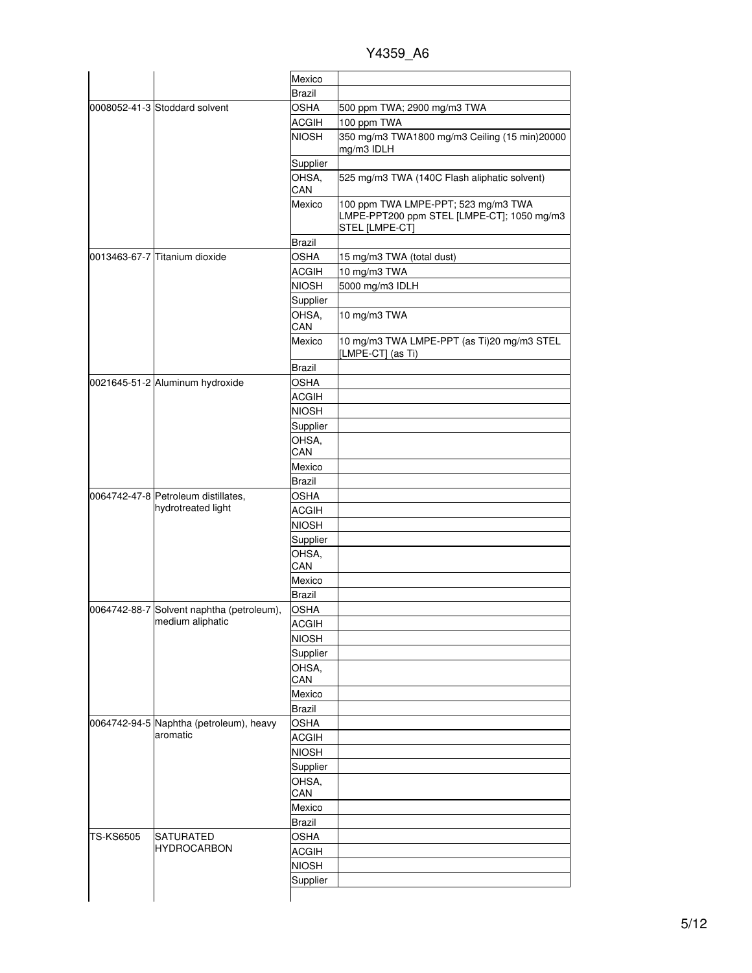Y4359\_A6

|           |                                                           | Mexico        |                                                                                                     |
|-----------|-----------------------------------------------------------|---------------|-----------------------------------------------------------------------------------------------------|
|           |                                                           | <b>Brazil</b> |                                                                                                     |
|           | 0008052-41-3 Stoddard solvent                             | OSHA          | 500 ppm TWA; 2900 mg/m3 TWA                                                                         |
|           |                                                           | <b>ACGIH</b>  | 100 ppm TWA                                                                                         |
|           |                                                           | <b>NIOSH</b>  | 350 mg/m3 TWA1800 mg/m3 Ceiling (15 min)20000<br>mg/m3 IDLH                                         |
|           |                                                           | Supplier      |                                                                                                     |
|           |                                                           | OHSA,<br>CAN  | 525 mg/m3 TWA (140C Flash aliphatic solvent)                                                        |
|           |                                                           | Mexico        | 100 ppm TWA LMPE-PPT; 523 mg/m3 TWA<br>LMPE-PPT200 ppm STEL [LMPE-CT]; 1050 mg/m3<br>STEL [LMPE-CT] |
|           |                                                           | Brazil        |                                                                                                     |
|           | 0013463-67-7 Titanium dioxide                             | <b>OSHA</b>   | 15 mg/m3 TWA (total dust)                                                                           |
|           |                                                           | <b>ACGIH</b>  | 10 mg/m3 TWA                                                                                        |
|           |                                                           | <b>NIOSH</b>  | 5000 mg/m3 IDLH                                                                                     |
|           |                                                           | Supplier      |                                                                                                     |
|           |                                                           | OHSA.<br>CAN  | 10 mg/m3 TWA                                                                                        |
|           |                                                           | Mexico        | 10 mg/m3 TWA LMPE-PPT (as Ti)20 mg/m3 STEL<br>[LMPE-CT] (as Ti)                                     |
|           |                                                           | <b>Brazil</b> |                                                                                                     |
|           | 0021645-51-2 Aluminum hydroxide                           | <b>OSHA</b>   |                                                                                                     |
|           |                                                           | <b>ACGIH</b>  |                                                                                                     |
|           |                                                           | <b>NIOSH</b>  |                                                                                                     |
|           |                                                           | Supplier      |                                                                                                     |
|           |                                                           | OHSA,         |                                                                                                     |
|           |                                                           | CAN           |                                                                                                     |
|           |                                                           | Mexico        |                                                                                                     |
|           |                                                           | <b>Brazil</b> |                                                                                                     |
|           | 0064742-47-8 Petroleum distillates,<br>hydrotreated light | <b>OSHA</b>   |                                                                                                     |
|           |                                                           | <b>ACGIH</b>  |                                                                                                     |
|           |                                                           | <b>NIOSH</b>  |                                                                                                     |
|           |                                                           | Supplier      |                                                                                                     |
|           |                                                           | OHSA,<br>CAN  |                                                                                                     |
|           |                                                           | Mexico        |                                                                                                     |
|           |                                                           | <b>Brazil</b> |                                                                                                     |
|           | 0064742-88-7 Solvent naphtha (petroleum),                 | <b>OSHA</b>   |                                                                                                     |
|           | medium aliphatic                                          |               |                                                                                                     |
|           |                                                           | <b>ACGIH</b>  |                                                                                                     |
|           |                                                           | <b>NIOSH</b>  |                                                                                                     |
|           |                                                           | Supplier      |                                                                                                     |
|           |                                                           | OHSA,<br>CAN  |                                                                                                     |
|           |                                                           | Mexico        |                                                                                                     |
|           |                                                           | <b>Brazil</b> |                                                                                                     |
|           | 0064742-94-5 Naphtha (petroleum), heavy                   | <b>OSHA</b>   |                                                                                                     |
|           | aromatic                                                  | <b>ACGIH</b>  |                                                                                                     |
|           |                                                           | <b>NIOSH</b>  |                                                                                                     |
|           |                                                           | Supplier      |                                                                                                     |
|           |                                                           | OHSA,         |                                                                                                     |
|           |                                                           | CAN           |                                                                                                     |
|           |                                                           | Mexico        |                                                                                                     |
|           |                                                           | Brazil        |                                                                                                     |
|           | SATURATED                                                 | OSHA          |                                                                                                     |
| TS-KS6505 | <b>HYDROCARBON</b>                                        | ACGIH         |                                                                                                     |
|           |                                                           | <b>NIOSH</b>  |                                                                                                     |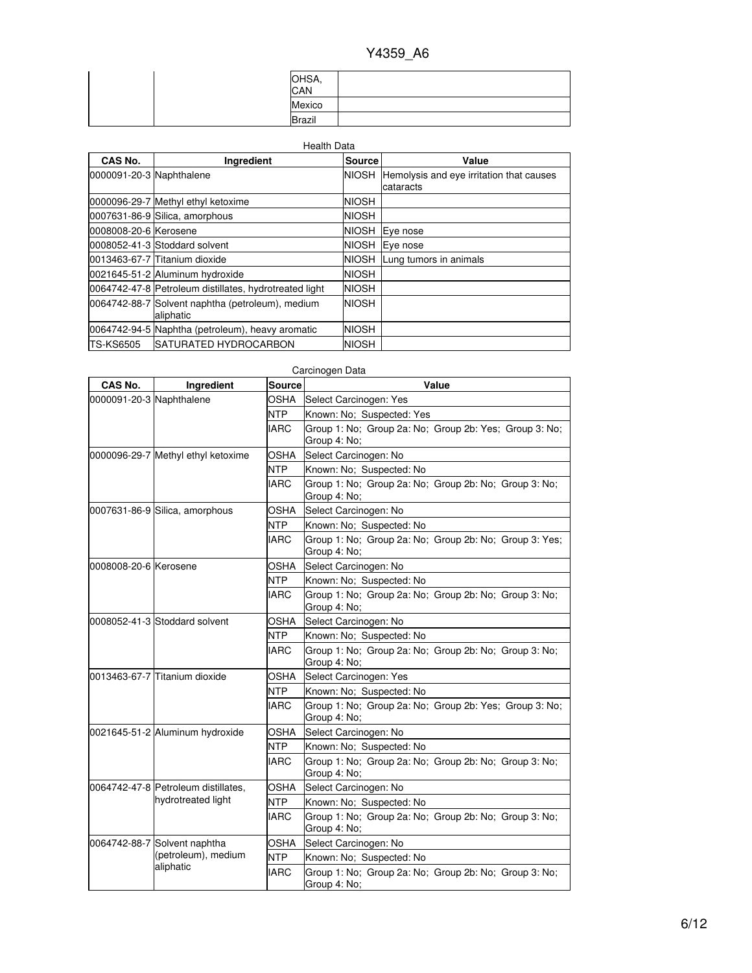| OHSA,<br>CAN  |  |
|---------------|--|
| Mexico        |  |
| <b>Brazil</b> |  |

| <b>Health Data</b>       |                                                               |              |                                                       |  |
|--------------------------|---------------------------------------------------------------|--------------|-------------------------------------------------------|--|
| CAS No.                  | Ingredient                                                    | Source       | Value                                                 |  |
| 0000091-20-3 Naphthalene |                                                               | <b>NIOSH</b> | Hemolysis and eye irritation that causes<br>cataracts |  |
|                          | 0000096-29-7 Methyl ethyl ketoxime                            | <b>NIOSH</b> |                                                       |  |
|                          | 0007631-86-9 Silica, amorphous                                | <b>NIOSH</b> |                                                       |  |
| 0008008-20-6 Kerosene    |                                                               | <b>NIOSH</b> | Eye nose                                              |  |
|                          | 0008052-41-3 Stoddard solvent                                 | <b>NIOSH</b> | Eye nose                                              |  |
|                          | 0013463-67-7 Titanium dioxide                                 | <b>NIOSH</b> | Lung tumors in animals                                |  |
|                          | 0021645-51-2 Aluminum hydroxide                               | <b>NIOSH</b> |                                                       |  |
|                          | 0064742-47-8 Petroleum distillates, hydrotreated light        | <b>NIOSH</b> |                                                       |  |
|                          | 0064742-88-7 Solvent naphtha (petroleum), medium<br>aliphatic | <b>NIOSH</b> |                                                       |  |
|                          | 0064742-94-5 Naphtha (petroleum), heavy aromatic              | <b>NIOSH</b> |                                                       |  |
| <b>TS-KS6505</b>         | <b>SATURATED HYDROCARBON</b>                                  | <b>NIOSH</b> |                                                       |  |

|                          |                                     |               | Carcinogen Data                                                        |
|--------------------------|-------------------------------------|---------------|------------------------------------------------------------------------|
| CAS No.                  | Ingredient                          | <b>Source</b> | Value                                                                  |
| 0000091-20-3 Naphthalene |                                     | OSHA          | Select Carcinogen: Yes                                                 |
|                          |                                     | <b>NTP</b>    | Known: No: Suspected: Yes                                              |
|                          |                                     | <b>IARC</b>   | Group 1: No; Group 2a: No; Group 2b: Yes; Group 3: No;<br>Group 4: No: |
|                          |                                     | OSHA          |                                                                        |
|                          | 0000096-29-7 Methyl ethyl ketoxime  | <b>NTP</b>    | Select Carcinogen: No                                                  |
|                          |                                     |               | Known: No; Suspected: No                                               |
|                          |                                     | <b>IARC</b>   | Group 1: No; Group 2a: No; Group 2b: No; Group 3: No;<br>Group 4: No:  |
|                          | 0007631-86-9 Silica, amorphous      | <b>OSHA</b>   | Select Carcinogen: No                                                  |
|                          |                                     | <b>NTP</b>    | Known: No: Suspected: No                                               |
|                          |                                     | <b>IARC</b>   | Group 1: No; Group 2a: No; Group 2b: No; Group 3: Yes;<br>Group 4: No: |
| l0008008-20-6 lKerosene  |                                     | OSHA          | Select Carcinogen: No                                                  |
|                          |                                     | <b>NTP</b>    | Known: No; Suspected: No                                               |
|                          |                                     | <b>IARC</b>   | Group 1: No: Group 2a: No: Group 2b: No: Group 3: No:<br>Group 4: No;  |
|                          | 0008052-41-3 Stoddard solvent       | <b>OSHA</b>   | Select Carcinogen: No                                                  |
|                          |                                     | NTP           | Known: No; Suspected: No                                               |
|                          |                                     | <b>IARC</b>   | Group 1: No; Group 2a: No; Group 2b: No; Group 3: No;<br>Group 4: No:  |
|                          | 0013463-67-7 Titanium dioxide       | <b>OSHA</b>   | Select Carcinogen: Yes                                                 |
|                          |                                     | <b>NTP</b>    | Known: No; Suspected: No                                               |
|                          |                                     | <b>IARC</b>   | Group 1: No; Group 2a: No; Group 2b: Yes; Group 3: No;<br>Group 4: No; |
|                          | 0021645-51-2 Aluminum hydroxide     | <b>OSHA</b>   | Select Carcinogen: No                                                  |
|                          |                                     | NTP           | Known: No; Suspected: No                                               |
|                          |                                     | <b>IARC</b>   | Group 1: No; Group 2a: No; Group 2b: No; Group 3: No;<br>Group 4: No;  |
|                          | 0064742-47-8 Petroleum distillates, | OSHA          | Select Carcinogen: No                                                  |
|                          | hydrotreated light                  | <b>NTP</b>    | Known: No: Suspected: No                                               |
|                          |                                     | <b>IARC</b>   | Group 1: No: Group 2a: No: Group 2b: No: Group 3: No:<br>Group 4: No;  |
|                          | 0064742-88-7 Solvent naphtha        | <b>OSHA</b>   | Select Carcinogen: No                                                  |
|                          | (petroleum), medium                 | <b>NTP</b>    | Known: No; Suspected: No                                               |
|                          | aliphatic                           | <b>IARC</b>   | Group 1: No; Group 2a: No; Group 2b: No; Group 3: No;<br>Group 4: No:  |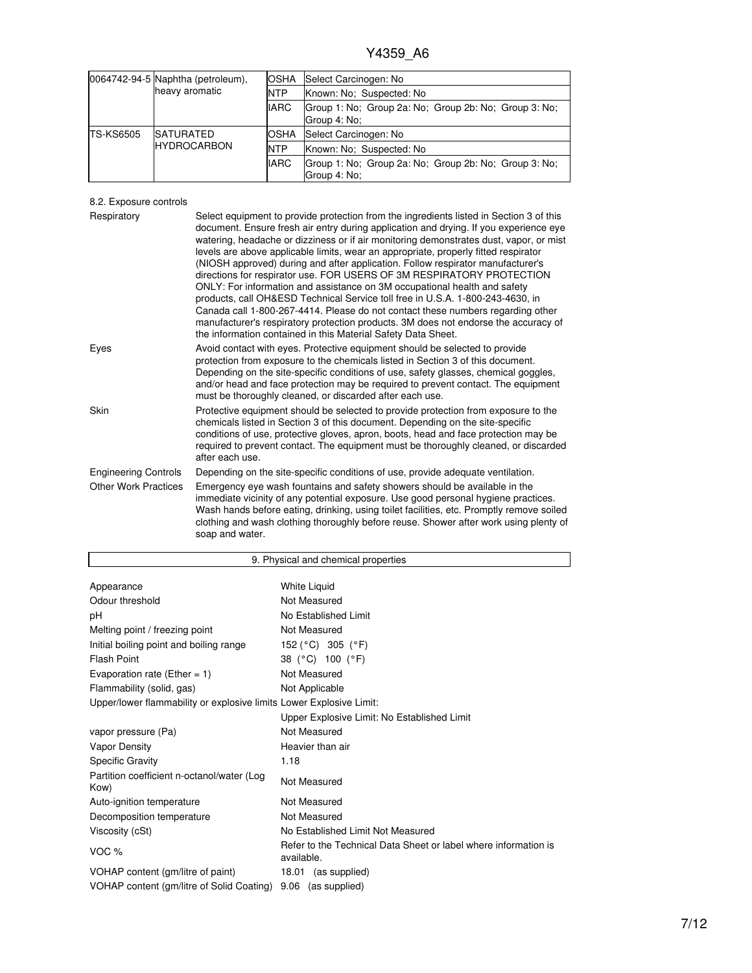|                                      | 0064742-94-5 Naphtha (petroleum), | <b>OSHA</b>  | Select Carcinogen: No                                                 |
|--------------------------------------|-----------------------------------|--------------|-----------------------------------------------------------------------|
|                                      | heavy aromatic                    | <b>NTP</b>   | Known: No: Suspected: No                                              |
|                                      |                                   | <b>IARC</b>  | Group 1: No; Group 2a: No; Group 2b: No; Group 3: No;<br>Group 4: No: |
| <b>TS-KS6505</b><br><b>SATURATED</b> |                                   | <b>IOSHA</b> | Select Carcinogen: No                                                 |
|                                      | <b>HYDROCARBON</b>                | <b>NTP</b>   | Known: No: Suspected: No                                              |
|                                      |                                   | <b>IARC</b>  | Group 1: No; Group 2a: No; Group 2b: No; Group 3: No;<br>Group 4: No: |

8.2. Exposure controls

| Respiratory                 | Select equipment to provide protection from the ingredients listed in Section 3 of this<br>document. Ensure fresh air entry during application and drying. If you experience eye<br>watering, headache or dizziness or if air monitoring demonstrates dust, vapor, or mist<br>levels are above applicable limits, wear an appropriate, properly fitted respirator<br>(NIOSH approved) during and after application. Follow respirator manufacturer's<br>directions for respirator use. FOR USERS OF 3M RESPIRATORY PROTECTION<br>ONLY: For information and assistance on 3M occupational health and safety<br>products, call OH&ESD Technical Service toll free in U.S.A. 1-800-243-4630, in<br>Canada call 1-800-267-4414. Please do not contact these numbers regarding other<br>manufacturer's respiratory protection products. 3M does not endorse the accuracy of |
|-----------------------------|------------------------------------------------------------------------------------------------------------------------------------------------------------------------------------------------------------------------------------------------------------------------------------------------------------------------------------------------------------------------------------------------------------------------------------------------------------------------------------------------------------------------------------------------------------------------------------------------------------------------------------------------------------------------------------------------------------------------------------------------------------------------------------------------------------------------------------------------------------------------|
| Eyes                        | the information contained in this Material Safety Data Sheet.<br>Avoid contact with eyes. Protective equipment should be selected to provide<br>protection from exposure to the chemicals listed in Section 3 of this document.<br>Depending on the site-specific conditions of use, safety glasses, chemical goggles,<br>and/or head and face protection may be required to prevent contact. The equipment<br>must be thoroughly cleaned, or discarded after each use.                                                                                                                                                                                                                                                                                                                                                                                                |
| Skin                        | Protective equipment should be selected to provide protection from exposure to the<br>chemicals listed in Section 3 of this document. Depending on the site-specific<br>conditions of use, protective gloves, apron, boots, head and face protection may be<br>required to prevent contact. The equipment must be thoroughly cleaned, or discarded<br>after each use.                                                                                                                                                                                                                                                                                                                                                                                                                                                                                                  |
| <b>Engineering Controls</b> | Depending on the site-specific conditions of use, provide adequate ventilation.                                                                                                                                                                                                                                                                                                                                                                                                                                                                                                                                                                                                                                                                                                                                                                                        |
| <b>Other Work Practices</b> | Emergency eye wash fountains and safety showers should be available in the<br>immediate vicinity of any potential exposure. Use good personal hygiene practices.<br>Wash hands before eating, drinking, using toilet facilities, etc. Promptly remove soiled<br>clothing and wash clothing thoroughly before reuse. Shower after work using plenty of<br>soap and water.                                                                                                                                                                                                                                                                                                                                                                                                                                                                                               |

| 9. Physical and chemical properties                                 |                                                                               |  |  |
|---------------------------------------------------------------------|-------------------------------------------------------------------------------|--|--|
|                                                                     |                                                                               |  |  |
| Appearance                                                          | <b>White Liquid</b>                                                           |  |  |
| Odour threshold                                                     | Not Measured                                                                  |  |  |
| рH                                                                  | No Established Limit                                                          |  |  |
| Melting point / freezing point                                      | Not Measured                                                                  |  |  |
| Initial boiling point and boiling range                             | 152 ( $^{\circ}$ C) 305 ( $^{\circ}$ F)                                       |  |  |
| Flash Point                                                         | 38 (°C) 100 (°F)                                                              |  |  |
| Evaporation rate (Ether = $1$ )                                     | Not Measured                                                                  |  |  |
| Flammability (solid, gas)                                           | Not Applicable                                                                |  |  |
| Upper/lower flammability or explosive limits Lower Explosive Limit: |                                                                               |  |  |
|                                                                     | Upper Explosive Limit: No Established Limit                                   |  |  |
| vapor pressure (Pa)                                                 | Not Measured                                                                  |  |  |
| Vapor Density                                                       | Heavier than air                                                              |  |  |
| <b>Specific Gravity</b>                                             | 1.18                                                                          |  |  |
| Partition coefficient n-octanol/water (Log<br>Kow)                  | Not Measured                                                                  |  |  |
| Auto-ignition temperature                                           | Not Measured                                                                  |  |  |
| Decomposition temperature                                           | Not Measured                                                                  |  |  |
| Viscosity (cSt)                                                     | No Established Limit Not Measured                                             |  |  |
| VOC %                                                               | Refer to the Technical Data Sheet or label where information is<br>available. |  |  |
| VOHAP content (gm/litre of paint)                                   | 18.01 (as supplied)                                                           |  |  |
| VOHAP content (gm/litre of Solid Coating)                           | 9.06 (as supplied)                                                            |  |  |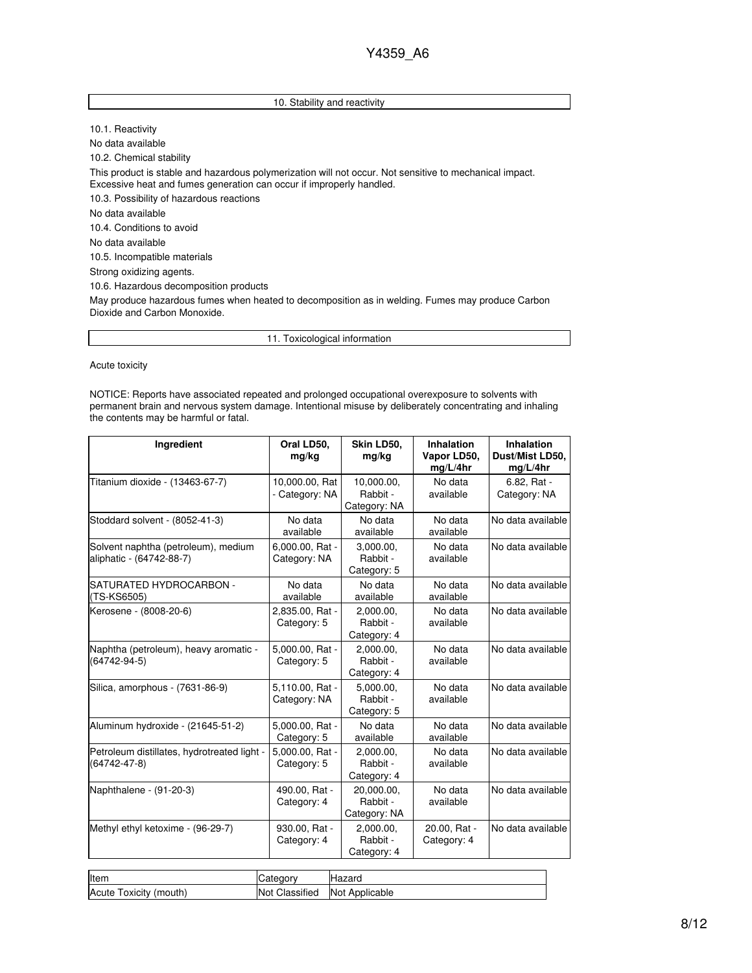### 10. Stability and reactivity

10.1. Reactivity No data available 10.2. Chemical stability This product is stable and hazardous polymerization will not occur. Not sensitive to mechanical impact. Excessive heat and fumes generation can occur if improperly handled. 10.3. Possibility of hazardous reactions No data available 10.4. Conditions to avoid No data available 10.5. Incompatible materials Strong oxidizing agents. 10.6. Hazardous decomposition products May produce hazardous fumes when heated to decomposition as in welding. Fumes may produce Carbon

Dioxide and Carbon Monoxide.

11. Toxicological information

Acute toxicity

NOTICE: Reports have associated repeated and prolonged occupational overexposure to solvents with permanent brain and nervous system damage. Intentional misuse by deliberately concentrating and inhaling the contents may be harmful or fatal.

| Ingredient                                                        | Oral LD50,<br>mg/kg              | Skin LD50,<br>mg/kg                    | Inhalation<br>Vapor LD50,<br>mg/L/4hr | Inhalation<br>Dust/Mist LD50,<br>mg/L/4hr |
|-------------------------------------------------------------------|----------------------------------|----------------------------------------|---------------------------------------|-------------------------------------------|
| Titanium dioxide - (13463-67-7)                                   | 10,000.00, Rat<br>- Category: NA | 10,000.00,<br>Rabbit -<br>Category: NA | No data<br>available                  | 6.82, Rat -<br>Category: NA               |
| Stoddard solvent - (8052-41-3)                                    | No data<br>available             | No data<br>available                   | No data<br>available                  | No data available                         |
| Solvent naphtha (petroleum), medium<br>aliphatic - (64742-88-7)   | 6,000.00, Rat -<br>Category: NA  | 3,000.00,<br>Rabbit -<br>Category: 5   | No data<br>available                  | No data available                         |
| SATURATED HYDROCARBON -<br>(TS-KS6505)                            | No data<br>available             | No data<br>available                   | No data<br>available                  | No data available                         |
| Kerosene - (8008-20-6)                                            | 2,835.00, Rat -<br>Category: 5   | 2,000.00,<br>Rabbit -<br>Category: 4   | No data<br>available                  | No data available                         |
| Naphtha (petroleum), heavy aromatic -<br>$(64742 - 94 - 5)$       | 5,000.00, Rat -<br>Category: 5   | 2.000.00.<br>Rabbit -<br>Category: 4   | No data<br>available                  | No data available                         |
| Silica, amorphous - (7631-86-9)                                   | 5,110.00, Rat -<br>Category: NA  | 5,000.00,<br>Rabbit -<br>Category: 5   | No data<br>available                  | No data available                         |
| Aluminum hydroxide - (21645-51-2)                                 | 5,000.00, Rat -<br>Category: 5   | No data<br>available                   | No data<br>available                  | No data available                         |
| Petroleum distillates, hydrotreated light -<br>$(64742 - 47 - 8)$ | 5.000.00. Rat -<br>Category: 5   | 2,000.00,<br>Rabbit -<br>Category: 4   | No data<br>available                  | No data available                         |
| Naphthalene - (91-20-3)                                           | 490.00, Rat -<br>Category: 4     | 20,000.00,<br>Rabbit -<br>Category: NA | No data<br>available                  | No data available                         |
| Methyl ethyl ketoxime - (96-29-7)                                 | 930.00, Rat -<br>Category: 4     | 2,000.00,<br>Rabbit -<br>Category: 4   | 20.00, Rat -<br>Category: 4           | No data available                         |

| Item                      | ategory.                 | Hazard         |
|---------------------------|--------------------------|----------------|
| Acute<br>Toxicity (mouth) | Classified<br><b>Not</b> | Not Applicable |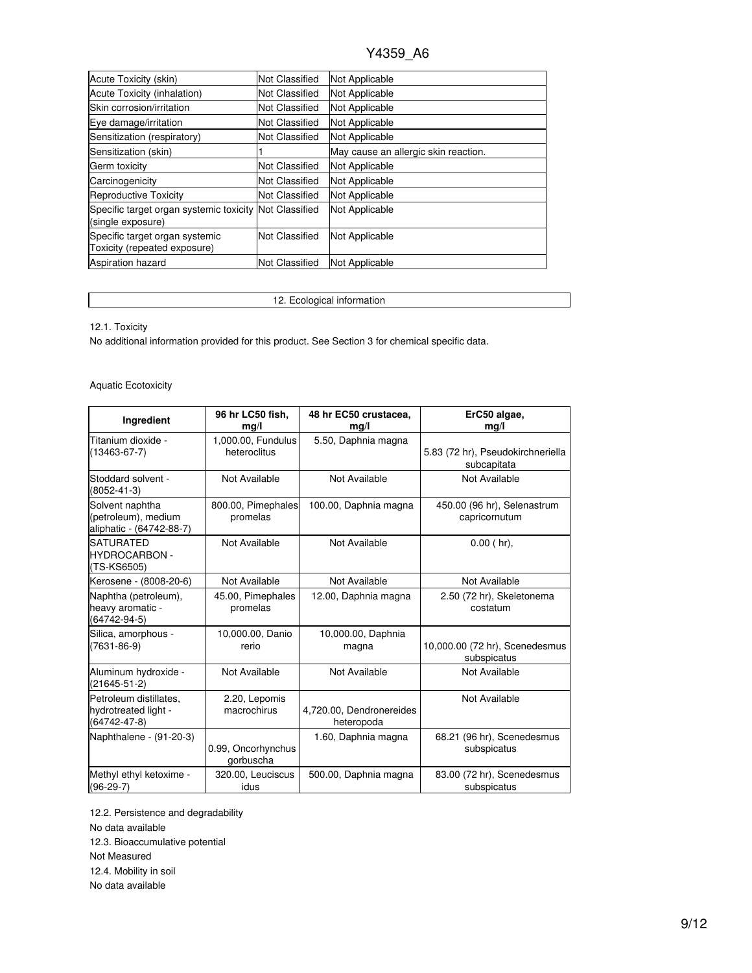| Acute Toxicity (skin)                                                       | <b>Not Classified</b> | Not Applicable                       |
|-----------------------------------------------------------------------------|-----------------------|--------------------------------------|
| Acute Toxicity (inhalation)                                                 | Not Classified        | Not Applicable                       |
| Skin corrosion/irritation                                                   | <b>Not Classified</b> | Not Applicable                       |
| Eye damage/irritation                                                       | Not Classified        | Not Applicable                       |
| Sensitization (respiratory)                                                 | Not Classified        | Not Applicable                       |
| Sensitization (skin)                                                        |                       | May cause an allergic skin reaction. |
| Germ toxicity                                                               | <b>Not Classified</b> | Not Applicable                       |
| Carcinogenicity                                                             | Not Classified        | Not Applicable                       |
| Reproductive Toxicity                                                       | Not Classified        | Not Applicable                       |
| Specific target organ systemic toxicity Not Classified<br>(single exposure) |                       | Not Applicable                       |
| Specific target organ systemic<br>Toxicity (repeated exposure)              | Not Classified        | Not Applicable                       |
| <b>Aspiration hazard</b>                                                    | Not Classified        | Not Applicable                       |

## 12. Ecological information

12.1. Toxicity

No additional information provided for this product. See Section 3 for chemical specific data.

## Aquatic Ecotoxicity

| Ingredient                                                           | 96 hr LC50 fish,<br>mg/l           | 48 hr EC50 crustacea,<br>mg/l          | ErC50 algae,<br>mg/l                             |
|----------------------------------------------------------------------|------------------------------------|----------------------------------------|--------------------------------------------------|
| Titanium dioxide -<br>$(13463 - 67 - 7)$                             | 1,000.00, Fundulus<br>heteroclitus | 5.50, Daphnia magna                    | 5.83 (72 hr), Pseudokirchneriella<br>subcapitata |
| Stoddard solvent -<br>$(8052 - 41 - 3)$                              | Not Available                      | Not Available                          | Not Available                                    |
| Solvent naphtha<br>(petroleum), medium<br>aliphatic - (64742-88-7)   | 800.00, Pimephales<br>promelas     | 100.00, Daphnia magna                  | 450.00 (96 hr), Selenastrum<br>capricornutum     |
| <b>SATURATED</b><br><b>HYDROCARBON -</b><br>(TS-KS6505)              | Not Available                      | Not Available                          | $0.00$ (hr).                                     |
| Kerosene - (8008-20-6)                                               | Not Available                      | Not Available                          | Not Available                                    |
| Naphtha (petroleum),<br>heavy aromatic -<br>(64742-94-5)             | 45.00, Pimephales<br>promelas      | 12.00, Daphnia magna                   | 2.50 (72 hr), Skeletonema<br>costatum            |
| Silica, amorphous -<br>$(7631 - 86 - 9)$                             | 10,000.00, Danio<br>rerio          | 10,000.00, Daphnia<br>magna            | 10,000.00 (72 hr), Scenedesmus<br>subspicatus    |
| Aluminum hydroxide -<br>$(21645 - 51 - 2)$                           | Not Available                      | Not Available                          | Not Available                                    |
| Petroleum distillates.<br>hydrotreated light -<br>$(64742 - 47 - 8)$ | 2.20, Lepomis<br>macrochirus       | 4,720.00, Dendronereides<br>heteropoda | Not Available                                    |
| Naphthalene - (91-20-3)                                              | 0.99, Oncorhynchus<br>gorbuscha    | 1.60, Daphnia magna                    | 68.21 (96 hr), Scenedesmus<br>subspicatus        |
| Methyl ethyl ketoxime -<br>$(96-29-7)$                               | 320.00, Leuciscus<br>idus          | 500.00, Daphnia magna                  | 83.00 (72 hr), Scenedesmus<br>subspicatus        |

12.2. Persistence and degradability No data available 12.3. Bioaccumulative potential Not Measured 12.4. Mobility in soil No data available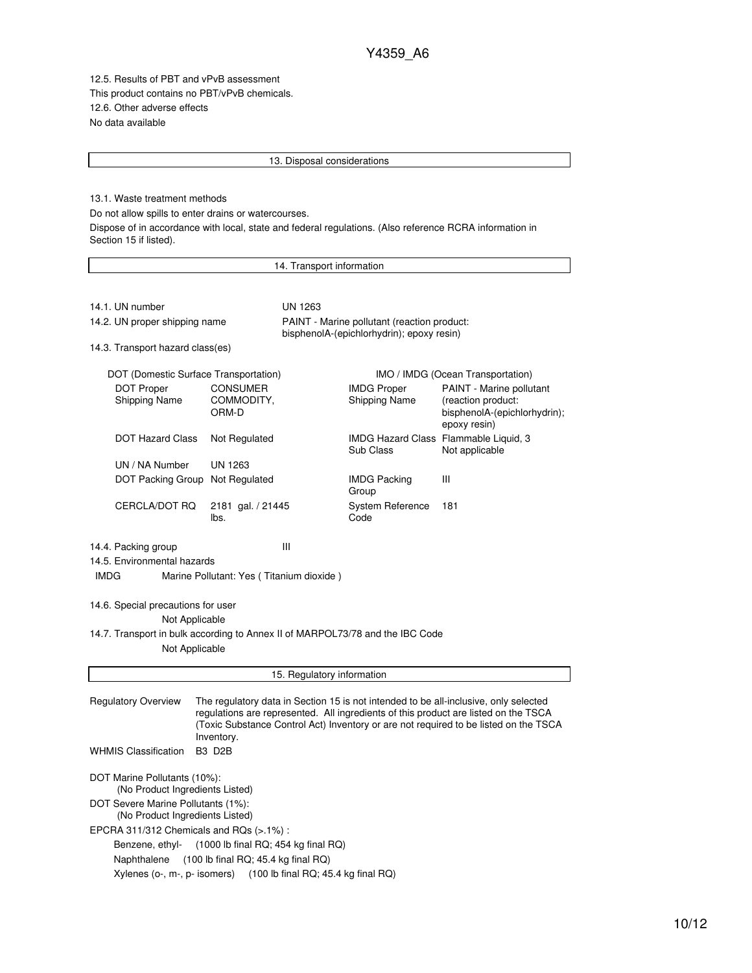12.5. Results of PBT and vPvB assessment This product contains no PBT/vPvB chemicals. 12.6. Other adverse effects No data available

#### 13. Disposal considerations

13.1. Waste treatment methods

Do not allow spills to enter drains or watercourses.

Dispose of in accordance with local, state and federal regulations. (Also reference RCRA information in Section 15 if listed).

14. Transport information 14.1. UN number UN 1263 14.2. UN proper shipping name PAINT - Marine pollutant (reaction product: bisphenolA-(epichlorhydrin); epoxy resin) 14.3. Transport hazard class(es) DOT (Domestic Surface Transportation) **IMO / IMDG** (Ocean Transportation) DOT Proper Shipping Name CONSUMER COMMODITY, ORM-D IMDG Proper Shipping Name PAINT - Marine pollutant (reaction product: bisphenolA-(epichlorhydrin); epoxy resin) DOT Hazard Class Not Regulated IMDG Hazard Class Flammable Liquid, 3 Sub Class Not applicable UN / NA Number UN 1263 DOT Packing Group Not Regulated IMDG Packing Group III CERCLA/DOT RQ 2181 gal. / 21445 lbs. System Reference Code 181 14.4. Packing group III 14.5. Environmental hazards IMDG Marine Pollutant: Yes ( Titanium dioxide ) 14.6. Special precautions for user Not Applicable 14.7. Transport in bulk according to Annex II of MARPOL73/78 and the IBC Code Not Applicable 15. Regulatory information Regulatory Overview The regulatory data in Section 15 is not intended to be all-inclusive, only selected regulations are represented. All ingredients of this product are listed on the TSCA (Toxic Substance Control Act) Inventory or are not required to be listed on the TSCA Inventory. WHMIS Classification B3 D2B DOT Marine Pollutants (10%): (No Product Ingredients Listed) DOT Severe Marine Pollutants (1%): (No Product Ingredients Listed) EPCRA 311/312 Chemicals and RQs (>.1%) : Benzene, ethyl- (1000 lb final RQ; 454 kg final RQ) Naphthalene (100 lb final RQ; 45.4 kg final RQ) Xylenes (o-, m-, p- isomers) (100 lb final RQ; 45.4 kg final RQ)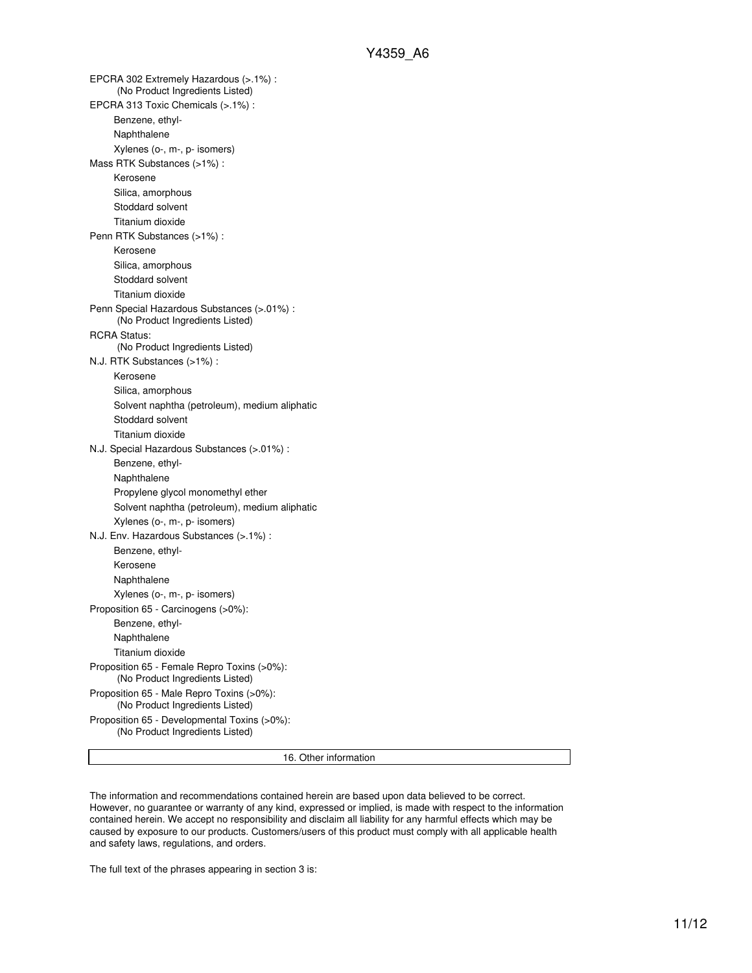EPCRA 302 Extremely Hazardous (>.1%) : (No Product Ingredients Listed) EPCRA 313 Toxic Chemicals (>.1%) : Benzene, ethyl-Naphthalene Xylenes (o-, m-, p- isomers) Mass RTK Substances (>1%) : Kerosene Silica, amorphous Stoddard solvent Titanium dioxide Penn RTK Substances (>1%) : Kerosene Silica, amorphous Stoddard solvent Titanium dioxide Penn Special Hazardous Substances (>.01%) : (No Product Ingredients Listed) RCRA Status: (No Product Ingredients Listed) N.J. RTK Substances (>1%) : Kerosene Silica, amorphous Solvent naphtha (petroleum), medium aliphatic Stoddard solvent Titanium dioxide N.J. Special Hazardous Substances (>.01%) : Benzene, ethyl-Naphthalene Propylene glycol monomethyl ether Solvent naphtha (petroleum), medium aliphatic Xylenes (o-, m-, p- isomers) N.J. Env. Hazardous Substances (>.1%) : Benzene, ethyl-Kerosene Naphthalene Xylenes (o-, m-, p- isomers) Proposition 65 - Carcinogens (>0%): Benzene, ethyl-Naphthalene Titanium dioxide Proposition 65 - Female Repro Toxins (>0%): (No Product Ingredients Listed) Proposition 65 - Male Repro Toxins (>0%): (No Product Ingredients Listed) Proposition 65 - Developmental Toxins (>0%): (No Product Ingredients Listed)

16. Other information

The information and recommendations contained herein are based upon data believed to be correct. However, no guarantee or warranty of any kind, expressed or implied, is made with respect to the information contained herein. We accept no responsibility and disclaim all liability for any harmful effects which may be caused by exposure to our products. Customers/users of this product must comply with all applicable health and safety laws, regulations, and orders.

The full text of the phrases appearing in section 3 is: